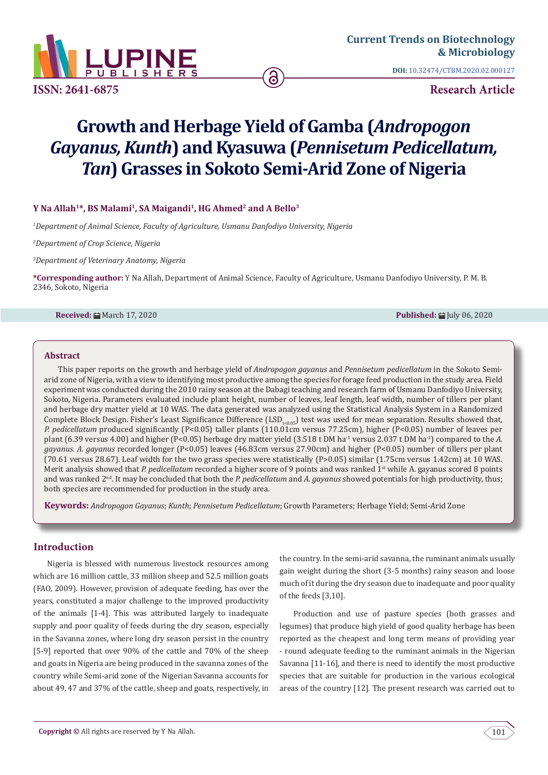

**ISSN: 2641-6875**

**DOI:** [10.32474/CTBM.2020.02.000127](http://dx.doi.org/10.32474/CTBM.2020.02.000127)

**Research Article**

# **Growth and Herbage Yield of Gamba (***Andropogon Gayanus, Kunth***) and Kyasuwa (***Pennisetum Pedicellatum, Tan***) Grasses in Sokoto Semi-Arid Zone of Nigeria**

## Y Na Allah<sup>1\*</sup>, BS Malami<sup>1</sup>, SA Maigandi<sup>1</sup>, HG Ahmed<sup>2</sup> and A Bello<sup>3</sup>

*1 Department of Animal Science, Faculty of Agriculture, Usmanu Danfodiyo University, Nigeria*

*2 Department of Crop Science, Nigeria*

*3 Department of Veterinary Anatomy, Nigeria*

**\*Corresponding author:** Y Na Allah, Department of Animal Science, Faculty of Agriculture, Usmanu Danfodiyo University, P. M. B. 2346, Sokoto, Nigeria

#### **Received:** March 17, 2020 **Published:** July 06, 2020

#### **Abstract**

This paper reports on the growth and herbage yield of *Andropogon gayanus* and *Pennisetum pedicellatum* in the Sokoto Semiarid zone of Nigeria, with a view to identifying most productive among the species for forage feed production in the study area. Field experiment was conducted during the 2010 rainy season at the Dabagi teaching and research farm of Usmanu Danfodiyo University, Sokoto, Nigeria. Parameters evaluated include plant height, number of leaves, leaf length, leaf width, number of tillers per plant and herbage dry matter yield at 10 WAS. The data generated was analyzed using the Statistical Analysis System in a Randomized Complete Block Design. Fisher's Least Significance Difference (LSD<sub>te0.05</sub>) test was used for mean separation. Results showed that, *P. pedicellatum* produced significantly (P<0.05) taller plants (110.01cm versus 77.25cm), higher (P<0.05) number of leaves per plant (6.39 versus 4.00) and higher (P<0.05) herbage dry matter yield (3.518 t DM ha<sup>-1</sup> versus 2.037 t DM ha<sup>-1</sup> compared to the *A*. *gayanus. A. gayanus* recorded longer (P<0.05) leaves (46.83cm versus 27.90cm) and higher (P<0.05) number of tillers per plant (70.61 versus 28.67). Leaf width for the two grass species were statistically (P>0.05) similar (1.75cm versus 1.42cm) at 10 WAS. Merit analysis showed that *P. pedicellatum* recorded a higher score of 9 points and was ranked 1st while A. gayanus scored 8 points and was ranked 2nd. It may be concluded that both the *P. pedicellatum* and *A. gayanus* showed potentials for high productivity, thus; both species are recommended for production in the study area.

**Keywords:** *Andropogon Gayanus*; *Kunth*; *Pennisetum Pedicellatum*; Growth Parameters; Herbage Yield; Semi-Arid Zone

## **Introduction**

Nigeria is blessed with numerous livestock resources among which are 16 million cattle, 33 million sheep and 52.5 million goats (FAO, 2009). However, provision of adequate feeding, has over the years, constituted a major challenge to the improved productivity of the animals [1-4]. This was attributed largely to inadequate supply and poor quality of feeds during the dry season, especially in the Savanna zones, where long dry season persist in the country [5-9] reported that over 90% of the cattle and 70% of the sheep and goats in Nigeria are being produced in the savanna zones of the country while Semi-arid zone of the Nigerian Savanna accounts for about 49, 47 and 37% of the cattle, sheep and goats, respectively, in

the country. In the semi-arid savanna, the ruminant animals usually gain weight during the short (3-5 months) rainy season and loose much of it during the dry season due to inadequate and poor quality of the feeds [3,10].

Production and use of pasture species (both grasses and legumes) that produce high yield of good quality herbage has been reported as the cheapest and long term means of providing year - round adequate feeding to the ruminant animals in the Nigerian Savanna [11-16], and there is need to identify the most productive species that are suitable for production in the various ecological areas of the country [12]. The present research was carried out to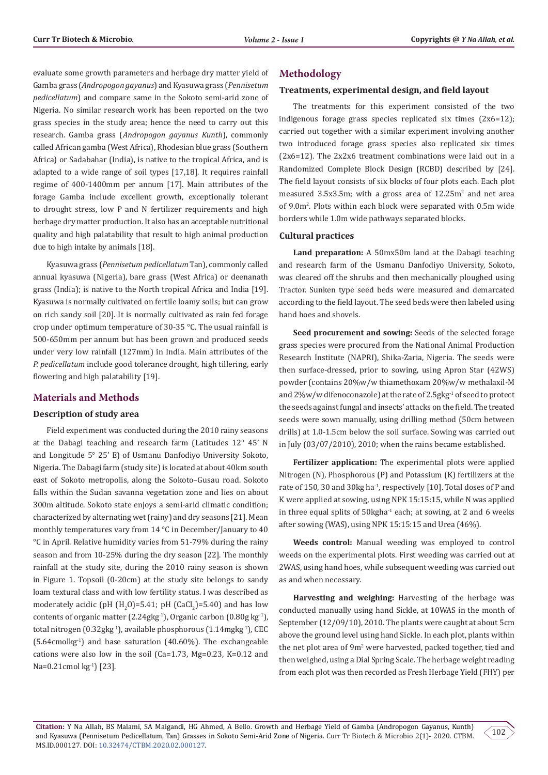evaluate some growth parameters and herbage dry matter yield of Gamba grass (*Andropogon gayanus*) and Kyasuwa grass (*Pennisetum pedicellatum*) and compare same in the Sokoto semi-arid zone of Nigeria. No similar research work has been reported on the two grass species in the study area; hence the need to carry out this research. Gamba grass (*Andropogon gayanus Kunth*), commonly called African gamba (West Africa), Rhodesian blue grass (Southern Africa) or Sadabahar (India), is native to the tropical Africa, and is adapted to a wide range of soil types [17,18]. It requires rainfall regime of 400-1400mm per annum [17]. Main attributes of the forage Gamba include excellent growth, exceptionally tolerant to drought stress, low P and N fertilizer requirements and high herbage dry matter production. It also has an acceptable nutritional quality and high palatability that result to high animal production due to high intake by animals [18].

Kyasuwa grass (*Pennisetum pedicellatum* Tan), commonly called annual kyasuwa (Nigeria), bare grass (West Africa) or deenanath grass (India); is native to the North tropical Africa and India [19]. Kyasuwa is normally cultivated on fertile loamy soils; but can grow on rich sandy soil [20]. It is normally cultivated as rain fed forage crop under optimum temperature of 30-35 °C. The usual rainfall is 500-650mm per annum but has been grown and produced seeds under very low rainfall (127mm) in India. Main attributes of the *P. pedicellatum* include good tolerance drought, high tillering, early flowering and high palatability [19].

## **Materials and Methods**

#### **Description of study area**

Field experiment was conducted during the 2010 rainy seasons at the Dabagi teaching and research farm (Latitudes 12° 45' N and Longitude 5° 25' E) of Usmanu Danfodiyo University Sokoto, Nigeria. The Dabagi farm (study site) is located at about 40km south east of Sokoto metropolis, along the Sokoto–Gusau road. Sokoto falls within the Sudan savanna vegetation zone and lies on about 300m altitude. Sokoto state enjoys a semi-arid climatic condition; characterized by alternating wet (rainy) and dry seasons [21]. Mean monthly temperatures vary from 14 °C in December/January to 40 °C in April. Relative humidity varies from 51-79% during the rainy season and from 10-25% during the dry season [22]. The monthly rainfall at the study site, during the 2010 rainy season is shown in Figure 1. Topsoil (0-20cm) at the study site belongs to sandy loam textural class and with low fertility status. I was described as moderately acidic (pH  $(H_2O)$ =5.41; pH (CaCl<sub>2</sub>)=5.40) and has low contents of organic matter (2.24gkg<sup>-1</sup>), Organic carbon (0.80g kg<sup>-1</sup>), total nitrogen (0.32gkg-1), available phosphorous (1.14mgkg-1), CEC  $(5.64$ cmolkg<sup>-1</sup>) and base saturation  $(40.60\%)$ . The exchangeable cations were also low in the soil (Ca=1.73, Mg=0.23, K=0.12 and Na=0.21cmol kg<sup>-1</sup>) [23].

# **Methodology**

# **Treatments, experimental design, and field layout**

The treatments for this experiment consisted of the two indigenous forage grass species replicated six times (2x6=12); carried out together with a similar experiment involving another two introduced forage grass species also replicated six times (2x6=12). The 2x2x6 treatment combinations were laid out in a Randomized Complete Block Design (RCBD) described by [24]. The field layout consists of six blocks of four plots each. Each plot measured  $3.5x3.5m$ ; with a gross area of  $12.25m^2$  and net area of 9.0m2 . Plots within each block were separated with 0.5m wide borders while 1.0m wide pathways separated blocks.

#### **Cultural practices**

**Land preparation:** A 50mx50m land at the Dabagi teaching and research farm of the Usmanu Danfodiyo University, Sokoto, was cleared off the shrubs and then mechanically ploughed using Tractor. Sunken type seed beds were measured and demarcated according to the field layout. The seed beds were then labeled using hand hoes and shovels.

**Seed procurement and sowing:** Seeds of the selected forage grass species were procured from the National Animal Production Research Institute (NAPRI), Shika-Zaria, Nigeria. The seeds were then surface-dressed, prior to sowing, using Apron Star (42WS) powder (contains 20%w/w thiamethoxam 20%w/w methalaxil-M and 2%w/w difenoconazole) at the rate of 2.5gkg<sup>1</sup> of seed to protect the seeds against fungal and insects' attacks on the field. The treated seeds were sown manually, using drilling method (50cm between drills) at 1.0-1.5cm below the soil surface. Sowing was carried out in July (03/07/2010), 2010; when the rains became established.

**Fertilizer application:** The experimental plots were applied Nitrogen (N), Phosphorous (P) and Potassium (K) fertilizers at the rate of 150, 30 and 30kg ha<sup>-1</sup>, respectively [10]. Total doses of P and K were applied at sowing, using NPK 15:15:15, while N was applied in three equal splits of  $50$ kgha<sup>-1</sup> each; at sowing, at 2 and 6 weeks after sowing (WAS), using NPK 15:15:15 and Urea (46%).

**Weeds control:** Manual weeding was employed to control weeds on the experimental plots. First weeding was carried out at 2WAS, using hand hoes, while subsequent weeding was carried out as and when necessary.

**Harvesting and weighing:** Harvesting of the herbage was conducted manually using hand Sickle, at 10WAS in the month of September (12/09/10), 2010. The plants were caught at about 5cm above the ground level using hand Sickle. In each plot, plants within the net plot area of 9m<sup>2</sup> were harvested, packed together, tied and then weighed, using a Dial Spring Scale. The herbage weight reading from each plot was then recorded as Fresh Herbage Yield (FHY) per

**Citation:** Y Na Allah, BS Malami, SA Maigandi, HG Ahmed, A Bello. Growth and Herbage Yield of Gamba (Andropogon Gayanus, Kunth) and Kyasuwa (Pennisetum Pedicellatum, Tan) Grasses in Sokoto Semi-Arid Zone of Nigeria. Curr Tr Biotech & Microbio 2(1)- 2020. CTBM. MS.ID.000127. DOI: [10.32474/CTBM.2020.02.000127.](http://dx.doi.org/10.32474/CTBM.2020.02.000127)

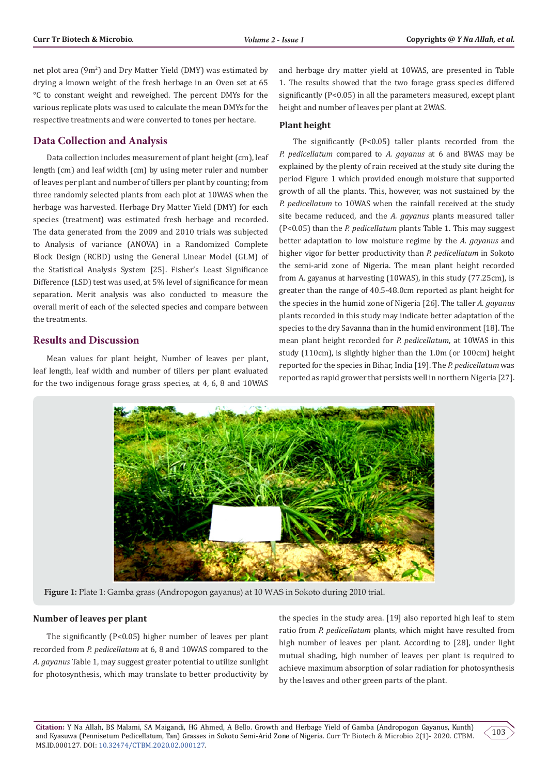net plot area (9m<sup>2</sup>) and Dry Matter Yield (DMY) was estimated by drying a known weight of the fresh herbage in an Oven set at 65 °C to constant weight and reweighed. The percent DMYs for the various replicate plots was used to calculate the mean DMYs for the respective treatments and were converted to tones per hectare.

## **Data Collection and Analysis**

Data collection includes measurement of plant height (cm), leaf length (cm) and leaf width (cm) by using meter ruler and number of leaves per plant and number of tillers per plant by counting; from three randomly selected plants from each plot at 10WAS when the herbage was harvested. Herbage Dry Matter Yield (DMY) for each species (treatment) was estimated fresh herbage and recorded. The data generated from the 2009 and 2010 trials was subjected to Analysis of variance (ANOVA) in a Randomized Complete Block Design (RCBD) using the General Linear Model (GLM) of the Statistical Analysis System [25]. Fisher's Least Significance Difference (LSD) test was used, at 5% level of significance for mean separation. Merit analysis was also conducted to measure the overall merit of each of the selected species and compare between the treatments.

## **Results and Discussion**

Mean values for plant height, Number of leaves per plant, leaf length, leaf width and number of tillers per plant evaluated for the two indigenous forage grass species, at 4, 6, 8 and 10WAS and herbage dry matter yield at 10WAS, are presented in Table 1. The results showed that the two forage grass species differed significantly (P<0.05) in all the parameters measured, except plant height and number of leaves per plant at 2WAS.

## **Plant height**

The significantly (P<0.05) taller plants recorded from the *P. pedicellatum* compared to *A. gayanus* at 6 and 8WAS may be explained by the plenty of rain received at the study site during the period Figure 1 which provided enough moisture that supported growth of all the plants. This, however, was not sustained by the *P. pedicellatum* to 10WAS when the rainfall received at the study site became reduced, and the *A. gayanus* plants measured taller (P<0.05) than the *P. pedicellatum* plants Table 1. This may suggest better adaptation to low moisture regime by the *A. gayanus* and higher vigor for better productivity than *P. pedicellatum* in Sokoto the semi-arid zone of Nigeria. The mean plant height recorded from A. gayanus at harvesting (10WAS), in this study (77.25cm), is greater than the range of 40.5-48.0cm reported as plant height for the species in the humid zone of Nigeria [26]. The taller *A. gayanus* plants recorded in this study may indicate better adaptation of the species to the dry Savanna than in the humid environment [18]. The mean plant height recorded for *P. pedicellatum*, at 10WAS in this study (110cm), is slightly higher than the 1.0m (or 100cm) height reported for the species in Bihar, India [19]. The *P. pedicellatum* was reported as rapid grower that persists well in northern Nigeria [27].



**Figure 1:** Plate 1: Gamba grass (Andropogon gayanus) at 10 WAS in Sokoto during 2010 trial.

#### **Number of leaves per plant**

The significantly (P<0.05) higher number of leaves per plant recorded from *P. pedicellatum* at 6, 8 and 10WAS compared to the *A. gayanus* Table 1, may suggest greater potential to utilize sunlight for photosynthesis, which may translate to better productivity by

the species in the study area. [19] also reported high leaf to stem ratio from *P. pedicellatum* plants, which might have resulted from high number of leaves per plant. According to [28], under light mutual shading, high number of leaves per plant is required to achieve maximum absorption of solar radiation for photosynthesis by the leaves and other green parts of the plant.

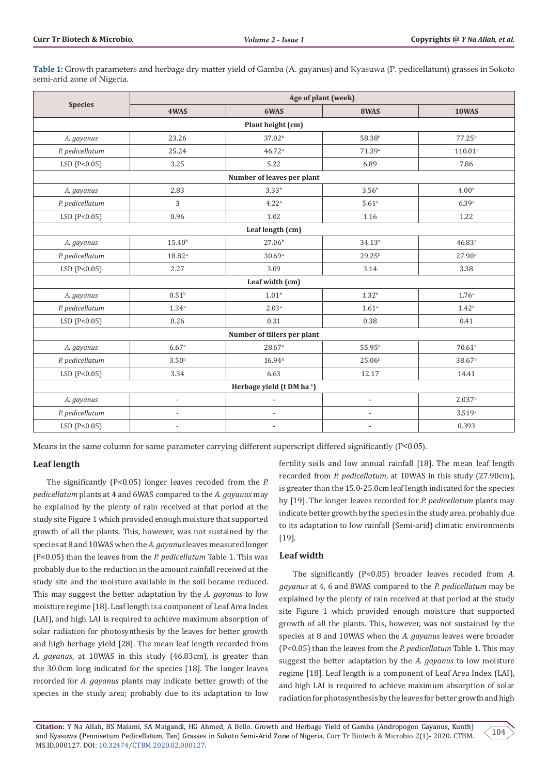**Table 1:** Growth parameters and herbage dry matter yield of Gamba (A. gayanus) and Kyasuwa (P. pedicellatum) grasses in Sokoto semi-arid zone of Nigeria.

|                                        | Age of plant (week)         |                          |                          |                      |  |  |  |  |  |  |  |
|----------------------------------------|-----------------------------|--------------------------|--------------------------|----------------------|--|--|--|--|--|--|--|
| <b>Species</b>                         | 4WAS                        | 6WAS                     | 8WAS                     | 10WAS                |  |  |  |  |  |  |  |
| Plant height (cm)                      |                             |                          |                          |                      |  |  |  |  |  |  |  |
| A. gayanus                             | 23.26                       | 37.02 <sup>b</sup>       | 58.38 <sup>b</sup>       | 77.25 <sup>b</sup>   |  |  |  |  |  |  |  |
| P. pedicellatum                        | 25.24                       | 46.72a                   | 71.39a                   | $110.01^a$           |  |  |  |  |  |  |  |
| LSD (P<0.05)                           | 3.25                        | 5.22                     | 6.89                     | 7.86                 |  |  |  |  |  |  |  |
| Number of leaves per plant             |                             |                          |                          |                      |  |  |  |  |  |  |  |
| A. gayanus                             | 2.83                        | 3.33 <sup>b</sup>        | 3.56 <sup>b</sup>        | 4.00 <sup>b</sup>    |  |  |  |  |  |  |  |
| P. pedicellatum                        | 3                           | 4.22 <sup>a</sup>        | $5.61$ <sup>a</sup>      | 6.39a                |  |  |  |  |  |  |  |
| LSD(P<0.05)                            | 0.96                        | 1.02                     | 1.16                     | 1.22                 |  |  |  |  |  |  |  |
| Leaf length (cm)                       |                             |                          |                          |                      |  |  |  |  |  |  |  |
| A. gayanus                             | 15.40 <sup>b</sup>          | 27.06 <sup>b</sup>       | 34.13a                   | 46.83a               |  |  |  |  |  |  |  |
| P. pedicellatum                        | $18.82$ <sup>a</sup>        | 30.69a                   | 29.25 <sup>b</sup>       | 27.90 <sup>b</sup>   |  |  |  |  |  |  |  |
| LSD(P<0.05)                            | 2.27                        | 3.09                     | 3.14                     | 3.38                 |  |  |  |  |  |  |  |
| Leaf width (cm)                        |                             |                          |                          |                      |  |  |  |  |  |  |  |
| A. gayanus                             | 0.51 <sup>b</sup>           | 1.01 <sup>b</sup>        | 1.32 <sup>b</sup>        | 1.76 <sup>a</sup>    |  |  |  |  |  |  |  |
| P. pedicellatum                        | $1.34^{a}$                  | 2.03 <sup>a</sup>        | 1.61 <sup>a</sup>        | 1.42 <sup>b</sup>    |  |  |  |  |  |  |  |
| LSD(P<0.05)                            | 0.26                        | 0.31                     | 0.38                     | 0.41                 |  |  |  |  |  |  |  |
|                                        | Number of tillers per plant |                          |                          |                      |  |  |  |  |  |  |  |
| A. gayanus                             | 6.67a                       | 28.67a                   | 55.95 <sup>a</sup>       | $70.61$ <sup>a</sup> |  |  |  |  |  |  |  |
| P. pedicellatum                        | 3.50 <sup>b</sup>           | 16.94 <sup>b</sup>       | 25.06 <sup>b</sup>       | 38.67 <sup>b</sup>   |  |  |  |  |  |  |  |
| LSD(P<0.05)                            | 3.34                        | 6.63                     | 12.17                    | 14.41                |  |  |  |  |  |  |  |
| Herbage yield (t DM ha <sup>-1</sup> ) |                             |                          |                          |                      |  |  |  |  |  |  |  |
| A. gayanus                             | $\overline{a}$              |                          | $\overline{\phantom{a}}$ | 2.037 <sup>b</sup>   |  |  |  |  |  |  |  |
| P. pedicellatum                        |                             | $\overline{a}$           | $\overline{\phantom{a}}$ | 3.519a               |  |  |  |  |  |  |  |
| LSD(P<0.05)                            | $\overline{\phantom{a}}$    | $\overline{\phantom{a}}$ | $\overline{\phantom{a}}$ | 0.393                |  |  |  |  |  |  |  |

Means in the same column for same parameter carrying different superscript differed significantly (P<0.05).

#### **Leaf length**

The significantly (P<0.05) longer leaves recoded from the *P. pedicellatum* plants at 4 and 6WAS compared to the *A. gayanus* may be explained by the plenty of rain received at that period at the study site Figure 1 which provided enough moisture that supported growth of all the plants. This, however, was not sustained by the species at 8 and 10WAS when the *A. gayanus* leaves measured longer (P<0.05) than the leaves from the *P. pedicellatum* Table 1. This was probably due to the reduction in the amount rainfall received at the study site and the moisture available in the soil became reduced. This may suggest the better adaptation by the *A. gayanus* to low moisture regime [18]. Leaf length is a component of Leaf Area Index (LAI), and high LAI is required to achieve maximum absorption of solar radiation for photosynthesis by the leaves for better growth and high herbage yield [28]. The mean leaf length recorded from *A. gayanus*, at 10WAS in this study (46.83cm), is greater than the 30.0cm long indicated for the species [18]. The longer leaves recorded for *A. gayanus* plants may indicate better growth of the species in the study area; probably due to its adaptation to low

fertility soils and low annual rainfall [18]. The mean leaf length recorded from *P. pedicellatum*, at 10WAS in this study (27.90cm), is greater than the 15.0-25.0cm leaf length indicated for the species by [19]. The longer leaves recorded for *P. pedicellatum* plants may indicate better growth by the species in the study area, probably due to its adaptation to low rainfall (Semi-arid) climatic environments [19].

#### **Leaf width**

The significantly (P<0.05) broader leaves recoded from *A. gayanus* at 4, 6 and 8WAS compared to the *P. pedicellatum* may be explained by the plenty of rain received at that period at the study site Figure 1 which provided enough moisture that supported growth of all the plants. This, however, was not sustained by the species at 8 and 10WAS when the *A. gayanus* leaves were broader (P<0.05) than the leaves from the *P. pedicellatum* Table 1. This may suggest the better adaptation by the *A. gayanus* to low moisture regime [18]. Leaf length is a component of Leaf Area Index (LAI), and high LAI is required to achieve maximum absorption of solar radiation for photosynthesis by the leaves for better growth and high

**Citation:** Y Na Allah, BS Malami, SA Maigandi, HG Ahmed, A Bello. Growth and Herbage Yield of Gamba (Andropogon Gayanus, Kunth) and Kyasuwa (Pennisetum Pedicellatum, Tan) Grasses in Sokoto Semi-Arid Zone of Nigeria. Curr Tr Biotech & Microbio 2(1)- 2020. CTBM. MS.ID.000127. DOI: [10.32474/CTBM.2020.02.000127.](http://dx.doi.org/10.32474/CTBM.2020.02.000127)

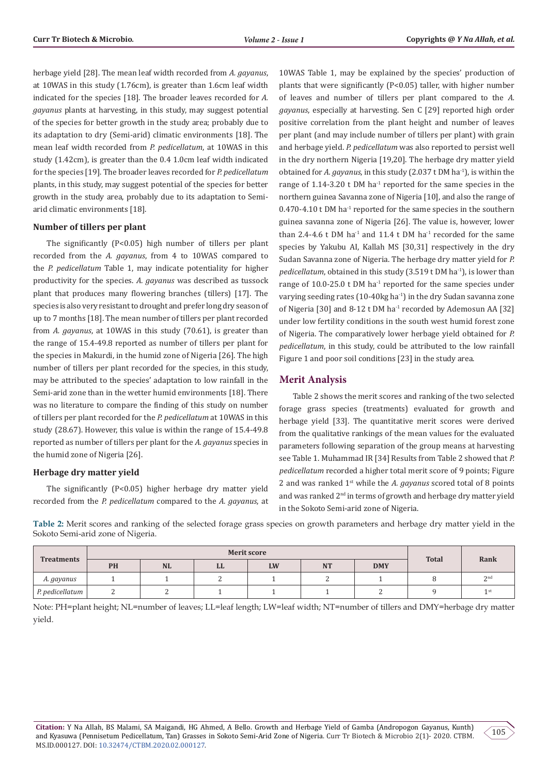herbage yield [28]. The mean leaf width recorded from *A. gayanus*, at 10WAS in this study (1.76cm), is greater than 1.6cm leaf width indicated for the species [18]. The broader leaves recorded for *A. gayanus* plants at harvesting, in this study, may suggest potential of the species for better growth in the study area; probably due to its adaptation to dry (Semi-arid) climatic environments [18]. The mean leaf width recorded from *P. pedicellatum*, at 10WAS in this study (1.42cm), is greater than the 0.4 1.0cm leaf width indicated for the species [19]. The broader leaves recorded for *P. pedicellatum* plants, in this study, may suggest potential of the species for better growth in the study area, probably due to its adaptation to Semiarid climatic environments [18].

#### **Number of tillers per plant**

The significantly (P<0.05) high number of tillers per plant recorded from the *A. gayanus*, from 4 to 10WAS compared to the *P. pedicellatum* Table 1, may indicate potentiality for higher productivity for the species. *A. gayanus* was described as tussock plant that produces many flowering branches (tillers) [17]. The species is also very resistant to drought and prefer long dry season of up to 7 months [18]. The mean number of tillers per plant recorded from *A. gayanus*, at 10WAS in this study (70.61), is greater than the range of 15.4-49.8 reported as number of tillers per plant for the species in Makurdi, in the humid zone of Nigeria [26]. The high number of tillers per plant recorded for the species, in this study, may be attributed to the species' adaptation to low rainfall in the Semi-arid zone than in the wetter humid environments [18]. There was no literature to compare the finding of this study on number of tillers per plant recorded for the *P. pedicellatum* at 10WAS in this study (28.67). However, this value is within the range of 15.4-49.8 reported as number of tillers per plant for the *A. gayanus* species in the humid zone of Nigeria [26].

#### **Herbage dry matter yield**

The significantly (P<0.05) higher herbage dry matter yield recorded from the *P. pedicellatum* compared to the *A. gayanus*, at 10WAS Table 1, may be explained by the species' production of plants that were significantly (P<0.05) taller, with higher number of leaves and number of tillers per plant compared to the *A. gayanus*, especially at harvesting. Sen C [29] reported high order positive correlation from the plant height and number of leaves per plant (and may include number of tillers per plant) with grain and herbage yield. *P. pedicellatum* was also reported to persist well in the dry northern Nigeria [19,20]. The herbage dry matter yield obtained for *A. gayanus*, in this study (2.037 t DM ha<sup>-1</sup>), is within the range of 1.14-3.20  $t$  DM ha<sup>-1</sup> reported for the same species in the northern guinea Savanna zone of Nigeria [10], and also the range of  $0.470 - 4.10$  t DM ha<sup>-1</sup> reported for the same species in the southern guinea savanna zone of Nigeria [26]. The value is, however, lower than 2.4-4.6 t DM ha<sup>-1</sup> and 11.4 t DM ha<sup>-1</sup> recorded for the same species by Yakubu AI, Kallah MS [30,31] respectively in the dry Sudan Savanna zone of Nigeria. The herbage dry matter yield for *P. pedicellatum*, obtained in this study (3.519 t DM ha<sup>-1</sup>), is lower than range of  $10.0\n-25.0$  t DM ha<sup>-1</sup> reported for the same species under varying seeding rates (10-40kg ha<sup>-1</sup>) in the dry Sudan savanna zone of Nigeria [30] and  $8-12$  t DM ha<sup>-1</sup> recorded by Ademosun AA [32] under low fertility conditions in the south west humid forest zone of Nigeria. The comparatively lower herbage yield obtained for *P. pedicellatum*, in this study, could be attributed to the low rainfall Figure 1 and poor soil conditions [23] in the study area.

#### **Merit Analysis**

Table 2 shows the merit scores and ranking of the two selected forage grass species (treatments) evaluated for growth and herbage yield [33]. The quantitative merit scores were derived from the qualitative rankings of the mean values for the evaluated parameters following separation of the group means at harvesting see Table 1. Muhammad IR [34] Results from Table 2 showed that *P. pedicellatum* recorded a higher total merit score of 9 points; Figure 2 and was ranked 1st while the *A. gayanus* scored total of 8 points and was ranked 2<sup>nd</sup> in terms of growth and herbage dry matter yield in the Sokoto Semi-arid zone of Nigeria.

**Table 2:** Merit scores and ranking of the selected forage grass species on growth parameters and herbage dry matter yield in the Sokoto Semi-arid zone of Nigeria.

| <b>Treatments</b> | <b>Merit score</b> |           |    |    |           |            |              |                 |
|-------------------|--------------------|-----------|----|----|-----------|------------|--------------|-----------------|
|                   | PH                 | <b>NL</b> | LL | LW | <b>NT</b> | <b>DMY</b> | <b>Total</b> | Rank            |
| A. gayanus        |                    |           |    |    |           |            |              | 2 <sup>nd</sup> |
| P. pedicellatum   |                    |           |    |    |           |            |              | 1 <sub>st</sub> |

Note: PH=plant height; NL=number of leaves; LL=leaf length; LW=leaf width; NT=number of tillers and DMY=herbage dry matter yield.

105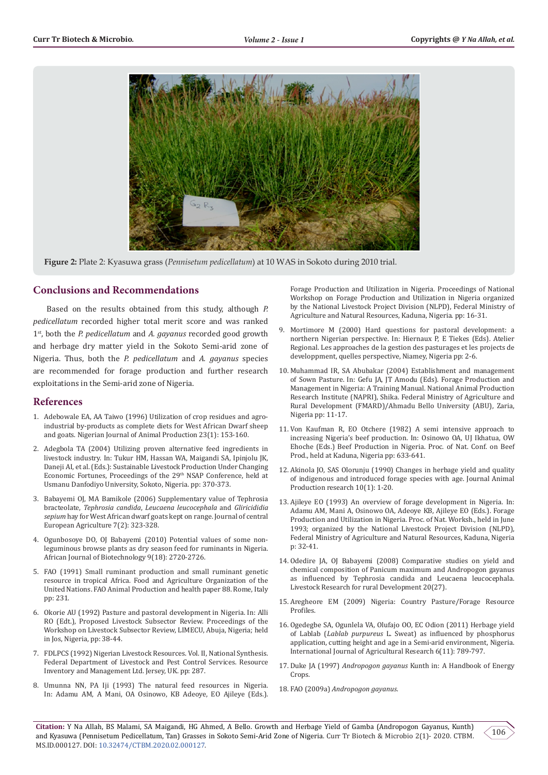

**Figure 2:** Plate 2: Kyasuwa grass (*Pennisetum pedicellatum*) at 10 WAS in Sokoto during 2010 trial.

#### **Conclusions and Recommendations**

Based on the results obtained from this study, although *P. pedicellatum* recorded higher total merit score and was ranked 1st, both the *P. pedicellatum* and *A. gayanus* recorded good growth and herbage dry matter yield in the Sokoto Semi-arid zone of Nigeria. Thus, both the *P. pedicellatum* and *A. gayanus* species are recommended for forage production and further research exploitations in the Semi-arid zone of Nigeria.

#### **References**

- 1. [Adebowale EA, AA Taiwo \(1996\) Utilization of crop residues and agro](https://www.ajol.info/index.php/njap/article/view/126496)[industrial by-products as complete diets for West African Dwarf sheep](https://www.ajol.info/index.php/njap/article/view/126496)  [and goats. Nigerian Journal of Animal Production 23\(1\): 153-160.](https://www.ajol.info/index.php/njap/article/view/126496)
- 2. Adegbola TA (2004) Utilizing proven alternative feed ingredients in livestock industry. In: Tukur HM, Hassan WA, Maigandi SA, Ipinjolu JK, Daneji AI, et al. (Eds.): Sustainable Livestock Production Under Changing Economic Fortunes, Proceedings of the 29<sup>th</sup> NSAP Conference, held at Usmanu Danfodiyo University, Sokoto, Nigeria. pp: 370-373.
- 3. [Babayemi OJ, MA Bamikole \(2006\) Supplementary value of Tephrosia](https://www.researchgate.net/publication/27201821_Supplementary_value_of_Tephrosia_bracteolata_Tephrosia_candida_Leucaena_leucocephala_and_Gliricidia_sepium_hay_for_West_African_dwarf_goats_kept_on_range)  bracteolate, *Tephrosia candida*, *[Leucaena leucocephala](https://www.researchgate.net/publication/27201821_Supplementary_value_of_Tephrosia_bracteolata_Tephrosia_candida_Leucaena_leucocephala_and_Gliricidia_sepium_hay_for_West_African_dwarf_goats_kept_on_range)* and *Gliricididia sepium* [hay for West African dwarf goats kept on range. Journal of central](https://www.researchgate.net/publication/27201821_Supplementary_value_of_Tephrosia_bracteolata_Tephrosia_candida_Leucaena_leucocephala_and_Gliricidia_sepium_hay_for_West_African_dwarf_goats_kept_on_range)  [European Agriculture 7\(2\): 323-328.](https://www.researchgate.net/publication/27201821_Supplementary_value_of_Tephrosia_bracteolata_Tephrosia_candida_Leucaena_leucocephala_and_Gliricidia_sepium_hay_for_West_African_dwarf_goats_kept_on_range)
- 4. [Ogunbosoye DO, OJ Babayemi \(2010\) Potential values of some non](https://academicjournals.org/AJB)[leguminous browse plants as dry season feed for ruminants in Nigeria.](https://academicjournals.org/AJB)  [African Journal of Biotechnology 9\(18\): 2720-2726.](https://academicjournals.org/AJB)
- 5. [FAO \(1991\) Small ruminant production and small ruminant genetic](http://www.fao.org/3/t0376e/t0376e00.htm)  [resource in tropical Africa. Food and Agriculture Organization of the](http://www.fao.org/3/t0376e/t0376e00.htm)  [United Nations. FAO Animal Production and health paper 88. Rome, Italy](http://www.fao.org/3/t0376e/t0376e00.htm)  [pp: 231.](http://www.fao.org/3/t0376e/t0376e00.htm)
- 6. Okorie AU (1992) Pasture and pastoral development in Nigeria. In: Alli RO (Edt.), Proposed Livestock Subsector Review. Proceedings of the Workshop on Livestock Subsector Review, LIMECU, Abuja, Nigeria; held in Jos, Nigeria, pp: 38-44.
- 7. FDLPCS (1992) Nigerian Livestock Resources. Vol. II, National Synthesis. Federal Department of Livestock and Pest Control Services. Resource Inventory and Management Ltd. Jersey, UK. pp: 287.
- 8. Umunna NN, PA Iji (1993) The natural feed resources in Nigeria. In: Adamu AM, A Mani, OA Osinowo, KB Adeoye, EO Ajileye (Eds.).

Forage Production and Utilization in Nigeria. Proceedings of National Workshop on Forage Production and Utilization in Nigeria organized by the National Livestock Project Division (NLPD), Federal Ministry of Agriculture and Natural Resources, Kaduna, Nigeria. pp: 16-31.

- Mortimore M (2000) Hard questions for pastoral development: a northern Nigerian perspective. In: Hiernaux P, E Tiekes (Eds). Atelier Regional. Les approaches de la gestion des pasturages et les projects de developpment, quelles perspective, Niamey, Nigeria pp: 2-6.
- 10. Muhammad IR, SA Abubakar (2004) Establishment and management of Sown Pasture. In: Gefu JA, JT Amodu (Eds). Forage Production and Management in Nigeria: A Training Manual. National Animal Production Research Institute (NAPRI), Shika. Federal Ministry of Agriculture and Rural Development (FMARD)/Ahmadu Bello University (ABU), Zaria, Nigeria pp: 11-17.
- 11. Von Kaufman R, EO Otchere (1982) A semi intensive approach to increasing Nigeria's beef production. In: Osinowo OA, UJ Ikhatua, OW Ehoche (Eds.) Beef Production in Nigeria. Proc. of Nat. Conf. on Beef Prod., held at Kaduna, Nigeria pp: 633-641.
- 12. Akinola JO, SAS Olorunju (1990) Changes in herbage yield and quality of indigenous and introduced forage species with age. Journal Animal Production research 10(1): 1-20.
- 13. Ajileye EO (1993) An overview of forage development in Nigeria. In: Adamu AM, Mani A, Osinowo OA, Adeoye KB, Ajileye EO (Eds.). Forage Production and Utilization in Nigeria. Proc. of Nat. Worksh., held in June 1993; organized by the National Livestock Project Division (NLPD), Federal Ministry of Agriculture and Natural Resources, Kaduna, Nigeria p: 32-41.
- 14. Odedire JA, OJ Babayemi (2008) Comparative studies on yield and chemical composition of Panicum maximum and Andropogon gayanus as influenced by Tephrosia candida and Leucaena leucocephala. Livestock Research for rural Development 20(27).
- 15. [Aregheore EM \(2009\) Nigeria: Country Pasture/Forage Resource](https://www.humanitarianlibrary.org/sites/default/files/2013/07/CotedIvoire-English.pdf) [Profiles.](https://www.humanitarianlibrary.org/sites/default/files/2013/07/CotedIvoire-English.pdf)
- 16. [Ogedegbe SA, Ogunlela VA, Olufajo OO, EC Odion \(2011\) Herbage yield](https://scialert.net/abstract/?doi=ijar.2011.789.797) of Lablab (*Lablab purpureus* [L. Sweat\) as influenced by phosphorus](https://scialert.net/abstract/?doi=ijar.2011.789.797) [application, cutting height and age in a Semi-arid environment, Nigeria.](https://scialert.net/abstract/?doi=ijar.2011.789.797) [International Journal of Agricultural Research 6\(11\): 789-797.](https://scialert.net/abstract/?doi=ijar.2011.789.797)
- 17. Duke JA (1997) *Andropogon gayanus* Kunth in: A Handbook of Energy Crops.
- 18. FAO (2009a) *Andropogon gayanus*.